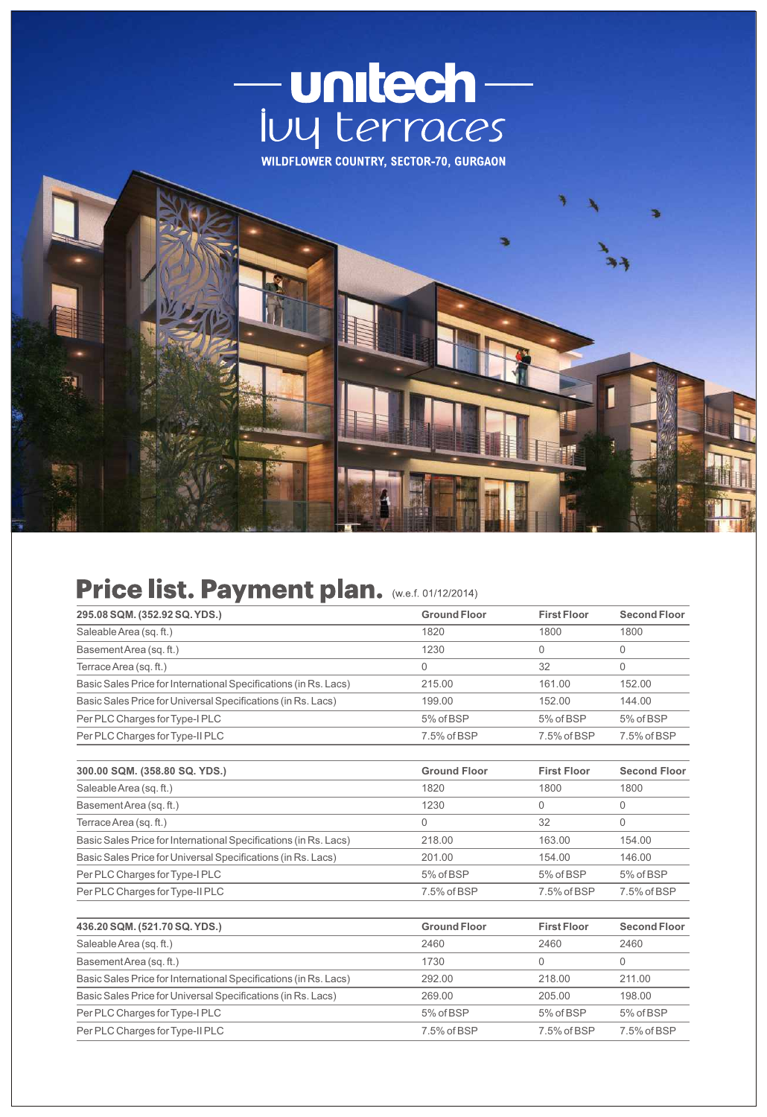



## Price list. Payment plan. (W.e.f. 01/12/2014)

| 295.08 SQM. (352.92 SQ. YDS.)                                    | <b>Ground Floor</b> | <b>First Floor</b> | <b>Second Floor</b> |
|------------------------------------------------------------------|---------------------|--------------------|---------------------|
| Saleable Area (sq. ft.)                                          | 1820                | 1800               | 1800                |
| Basement Area (sq. ft.)                                          | 1230                | $\Omega$           | $\Omega$            |
| Terrace Area (sq. ft.)                                           | $\overline{0}$      | 32                 | $\Omega$            |
| Basic Sales Price for International Specifications (in Rs. Lacs) | 215.00              | 161.00             | 152.00              |
| Basic Sales Price for Universal Specifications (in Rs. Lacs)     | 199.00              | 152.00             | 144.00              |
| Per PLC Charges for Type-I PLC                                   | 5% of BSP           | 5% of BSP          | 5% of BSP           |
| Per PLC Charges for Type-II PLC                                  | 7.5% of BSP         | 7.5% of BSP        | 7.5% of BSP         |
| 300.00 SQM. (358.80 SQ. YDS.)                                    | <b>Ground Floor</b> | <b>First Floor</b> | <b>Second Floor</b> |
| Saleable Area (sq. ft.)                                          | 1820                | 1800               | 1800                |
| Basement Area (sq. ft.)                                          | 1230                | $\Omega$           | $\Omega$            |
| Terrace Area (sq. ft.)                                           | $\Omega$            | 32                 | $\Omega$            |
| Basic Sales Price for International Specifications (in Rs. Lacs) | 218.00              | 163.00             | 154.00              |
| Basic Sales Price for Universal Specifications (in Rs. Lacs)     | 201.00              | 154.00             | 146.00              |
| Per PLC Charges for Type-I PLC                                   | 5% of BSP           | 5% of BSP          | 5% of BSP           |
| Per PLC Charges for Type-II PLC                                  | 7.5% of BSP         | 7.5% of BSP        | 7.5% of BSP         |
| 436.20 SQM. (521.70 SQ. YDS.)                                    | <b>Ground Floor</b> | <b>First Floor</b> | <b>Second Floor</b> |
| Saleable Area (sq. ft.)                                          | 2460                | 2460               | 2460                |
| Basement Area (sq. ft.)                                          | 1730                | $\Omega$           | $\Omega$            |
| Basic Sales Price for International Specifications (in Rs. Lacs) | 292.00              | 218.00             | 211.00              |
| Basic Sales Price for Universal Specifications (in Rs. Lacs)     | 269.00              | 205.00             | 198.00              |
| Per PLC Charges for Type-I PLC                                   | 5% of BSP           | 5% of BSP          | 5% of BSP           |
| Per PLC Charges for Type-II PLC                                  | 7.5% of BSP         | 7.5% of BSP        | 7.5% of BSP         |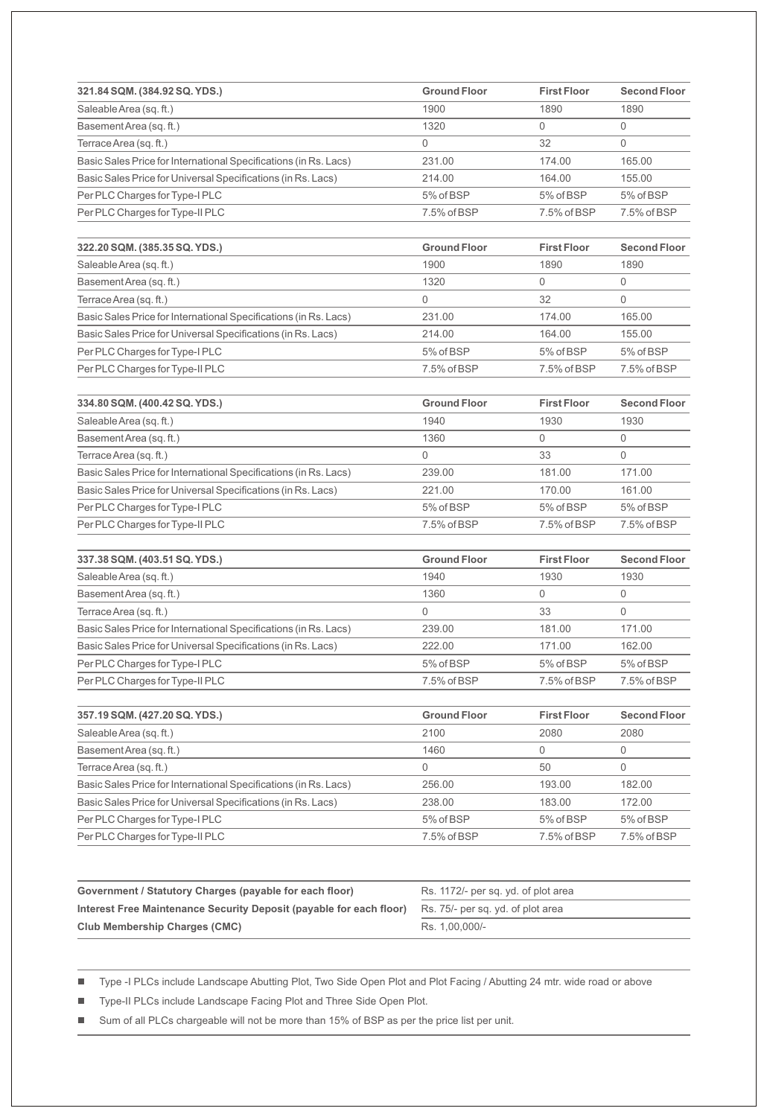| 321.84 SQM. (384.92 SQ. YDS.)                                    | <b>Ground Floor</b> | <b>First Floor</b> | <b>Second Floor</b> |
|------------------------------------------------------------------|---------------------|--------------------|---------------------|
| Saleable Area (sq. ft.)                                          | 1900                | 1890               | 1890                |
| Basement Area (sq. ft.)                                          | 1320                | 0                  | $\mathbf 0$         |
| Terrace Area (sq. ft.)                                           | $\Omega$            | 32                 | $\mathbf 0$         |
| Basic Sales Price for International Specifications (in Rs. Lacs) | 231.00              | 174.00             | 165.00              |
| Basic Sales Price for Universal Specifications (in Rs. Lacs)     | 214.00              | 164.00             | 155.00              |
| Per PLC Charges for Type-I PLC                                   | 5% of BSP           | 5% of BSP          | 5% of BSP           |
| Per PLC Charges for Type-II PLC                                  | 7.5% of BSP         | 7.5% of BSP        | 7.5% of BSP         |
| 322.20 SQM. (385.35 SQ. YDS.)                                    | <b>Ground Floor</b> | <b>First Floor</b> | <b>Second Floor</b> |
| Saleable Area (sq. ft.)                                          | 1900                | 1890               | 1890                |
| BasementArea (sq. ft.)                                           | 1320                | $\mathbf 0$        | $\mathbf 0$         |
| Terrace Area (sq. ft.)                                           | $\Omega$            | 32                 | $\Omega$            |
| Basic Sales Price for International Specifications (in Rs. Lacs) | 231.00              | 174.00             | 165.00              |
| Basic Sales Price for Universal Specifications (in Rs. Lacs)     | 214.00              | 164.00             | 155.00              |
| Per PLC Charges for Type-I PLC                                   | 5% of BSP           | 5% of BSP          | 5% of BSP           |
| Per PLC Charges for Type-II PLC                                  | 7.5% of BSP         | 7.5% of BSP        | 7.5% of BSP         |
| 334.80 SQM. (400.42 SQ. YDS.)                                    | <b>Ground Floor</b> | <b>First Floor</b> | <b>Second Floor</b> |
| Saleable Area (sq. ft.)                                          | 1940                | 1930               | 1930                |
| BasementArea (sq. ft.)                                           | 1360                | $\Omega$           | $\mathbf 0$         |
| Terrace Area (sq. ft.)                                           | $\mathbf 0$         | 33                 | $\mathbf 0$         |
| Basic Sales Price for International Specifications (in Rs. Lacs) | 239.00              | 181.00             | 171.00              |
| Basic Sales Price for Universal Specifications (in Rs. Lacs)     | 221.00              | 170.00             | 161.00              |
| Per PLC Charges for Type-I PLC                                   | 5% of BSP           | 5% of BSP          | 5% of BSP           |
| Per PLC Charges for Type-II PLC                                  | 7.5% of BSP         | 7.5% of BSP        | 7.5% of BSP         |
| 337.38 SQM. (403.51 SQ. YDS.)                                    | <b>Ground Floor</b> | <b>First Floor</b> | <b>Second Floor</b> |
| Saleable Area (sq. ft.)                                          | 1940                | 1930               | 1930                |
| Basement Area (sq. ft.)                                          | 1360                | 0                  | $\mathbb O$         |
| Terrace Area (sq. ft.)                                           | 0                   | 33                 | $\mathbf 0$         |
| Basic Sales Price for International Specifications (in Rs. Lacs) | 239.00              | 181.00             | 171.00              |
| Basic Sales Price for Universal Specifications (in Rs. Lacs)     | 222.00              | 171.00             | 162.00              |
| Per PLC Charges for Type-I PLC                                   | 5% of BSP           | 5% of BSP          | 5% of BSP           |
| Per PLC Charges for Type-II PLC                                  | 7.5% of BSP         | 7.5% of BSP        | 7.5% of BSP         |
| 357.19 SQM. (427.20 SQ. YDS.)                                    | <b>Ground Floor</b> | <b>First Floor</b> | <b>Second Floor</b> |
| Saleable Area (sq. ft.)                                          | 2100                | 2080               | 2080                |
| Basement Area (sq. ft.)                                          | 1460                | 0                  | $\mathsf{O}\xspace$ |
| Terrace Area (sq. ft.)                                           | $\Omega$            | 50                 | $\mathbf 0$         |
| Basic Sales Price for International Specifications (in Rs. Lacs) | 256.00              | 193.00             | 182.00              |
| Basic Sales Price for Universal Specifications (in Rs. Lacs)     | 238.00              | 183.00             | 172.00              |
| Per PLC Charges for Type-I PLC                                   | 5% of BSP           | 5% of BSP          | 5% of BSP           |
| Per PLC Charges for Type-II PLC                                  | 7.5% of BSP         | 7.5% of BSP        | 7.5% of BSP         |

| Government / Statutory Charges (payable for each floor)             | Rs. 1172/- per sq. yd. of plot area |
|---------------------------------------------------------------------|-------------------------------------|
| Interest Free Maintenance Security Deposit (payable for each floor) | Rs. 75/- per sq. yd. of plot area   |
| <b>Club Membership Charges (CMC)</b>                                | Rs. 1.00.000/-                      |

■ Type -I PLCs include Landscape Abutting Plot, Two Side Open Plot and Plot Facing / Abutting 24 mtr. wide road or above

■ Type-II PLCs include Landscape Facing Plot and Three Side Open Plot.

■ Sum of all PLCs chargeable will not be more than 15% of BSP as per the price list per unit.